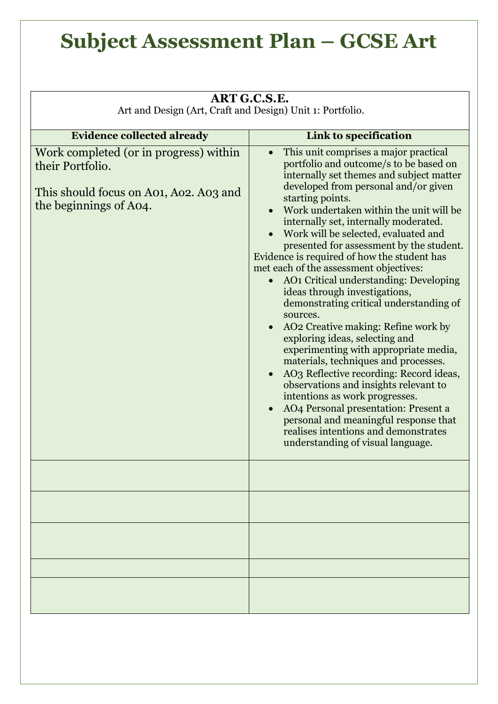## **Subject Assessment Plan – GCSE Art**

| ART G.C.S.E.                                                                                                                   |                                                                                                                                                                                                                                                                                                                                                                                                                                                                                                                                                                                                                                                                                                                                                                                                                                                                                                                                                                                                                                            |  |
|--------------------------------------------------------------------------------------------------------------------------------|--------------------------------------------------------------------------------------------------------------------------------------------------------------------------------------------------------------------------------------------------------------------------------------------------------------------------------------------------------------------------------------------------------------------------------------------------------------------------------------------------------------------------------------------------------------------------------------------------------------------------------------------------------------------------------------------------------------------------------------------------------------------------------------------------------------------------------------------------------------------------------------------------------------------------------------------------------------------------------------------------------------------------------------------|--|
| Art and Design (Art, Craft and Design) Unit 1: Portfolio.                                                                      |                                                                                                                                                                                                                                                                                                                                                                                                                                                                                                                                                                                                                                                                                                                                                                                                                                                                                                                                                                                                                                            |  |
| <b>Evidence collected already</b>                                                                                              | Link to specification                                                                                                                                                                                                                                                                                                                                                                                                                                                                                                                                                                                                                                                                                                                                                                                                                                                                                                                                                                                                                      |  |
| Work completed (or in progress) within<br>their Portfolio.<br>This should focus on A01, A02. A03 and<br>the beginnings of A04. | This unit comprises a major practical<br>portfolio and outcome/s to be based on<br>internally set themes and subject matter<br>developed from personal and/or given<br>starting points.<br>Work undertaken within the unit will be<br>internally set, internally moderated.<br>• Work will be selected, evaluated and<br>presented for assessment by the student.<br>Evidence is required of how the student has<br>met each of the assessment objectives:<br>AO1 Critical understanding: Developing<br>ideas through investigations,<br>demonstrating critical understanding of<br>sources.<br>AO2 Creative making: Refine work by<br>exploring ideas, selecting and<br>experimenting with appropriate media,<br>materials, techniques and processes.<br>AO3 Reflective recording: Record ideas,<br>observations and insights relevant to<br>intentions as work progresses.<br>AO4 Personal presentation: Present a<br>personal and meaningful response that<br>realises intentions and demonstrates<br>understanding of visual language. |  |
|                                                                                                                                |                                                                                                                                                                                                                                                                                                                                                                                                                                                                                                                                                                                                                                                                                                                                                                                                                                                                                                                                                                                                                                            |  |
|                                                                                                                                |                                                                                                                                                                                                                                                                                                                                                                                                                                                                                                                                                                                                                                                                                                                                                                                                                                                                                                                                                                                                                                            |  |
|                                                                                                                                |                                                                                                                                                                                                                                                                                                                                                                                                                                                                                                                                                                                                                                                                                                                                                                                                                                                                                                                                                                                                                                            |  |
|                                                                                                                                |                                                                                                                                                                                                                                                                                                                                                                                                                                                                                                                                                                                                                                                                                                                                                                                                                                                                                                                                                                                                                                            |  |
|                                                                                                                                |                                                                                                                                                                                                                                                                                                                                                                                                                                                                                                                                                                                                                                                                                                                                                                                                                                                                                                                                                                                                                                            |  |